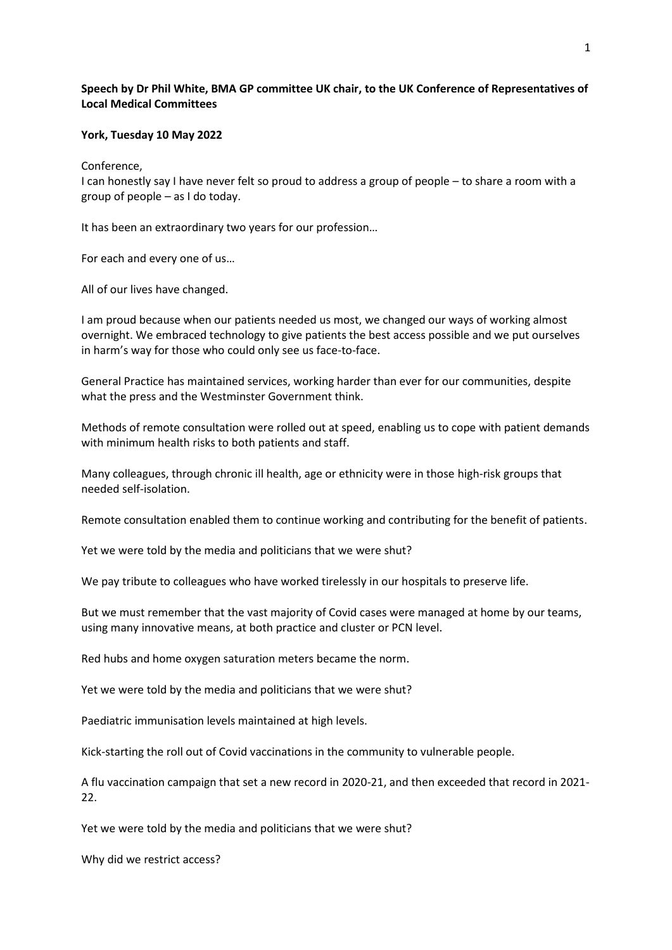## **Speech by Dr Phil White, BMA GP committee UK chair, to the UK Conference of Representatives of Local Medical Committees**

## **York, Tuesday 10 May 2022**

Conference,

I can honestly say I have never felt so proud to address a group of people – to share a room with a group of people – as I do today.

It has been an extraordinary two years for our profession…

For each and every one of us…

All of our lives have changed.

I am proud because when our patients needed us most, we changed our ways of working almost overnight. We embraced technology to give patients the best access possible and we put ourselves in harm's way for those who could only see us face-to-face.

General Practice has maintained services, working harder than ever for our communities, despite what the press and the Westminster Government think.

Methods of remote consultation were rolled out at speed, enabling us to cope with patient demands with minimum health risks to both patients and staff.

Many colleagues, through chronic ill health, age or ethnicity were in those high-risk groups that needed self-isolation.

Remote consultation enabled them to continue working and contributing for the benefit of patients.

Yet we were told by the media and politicians that we were shut?

We pay tribute to colleagues who have worked tirelessly in our hospitals to preserve life.

But we must remember that the vast majority of Covid cases were managed at home by our teams, using many innovative means, at both practice and cluster or PCN level.

Red hubs and home oxygen saturation meters became the norm.

Yet we were told by the media and politicians that we were shut?

Paediatric immunisation levels maintained at high levels.

Kick-starting the roll out of Covid vaccinations in the community to vulnerable people.

A flu vaccination campaign that set a new record in 2020-21, and then exceeded that record in 2021- 22.

Yet we were told by the media and politicians that we were shut?

Why did we restrict access?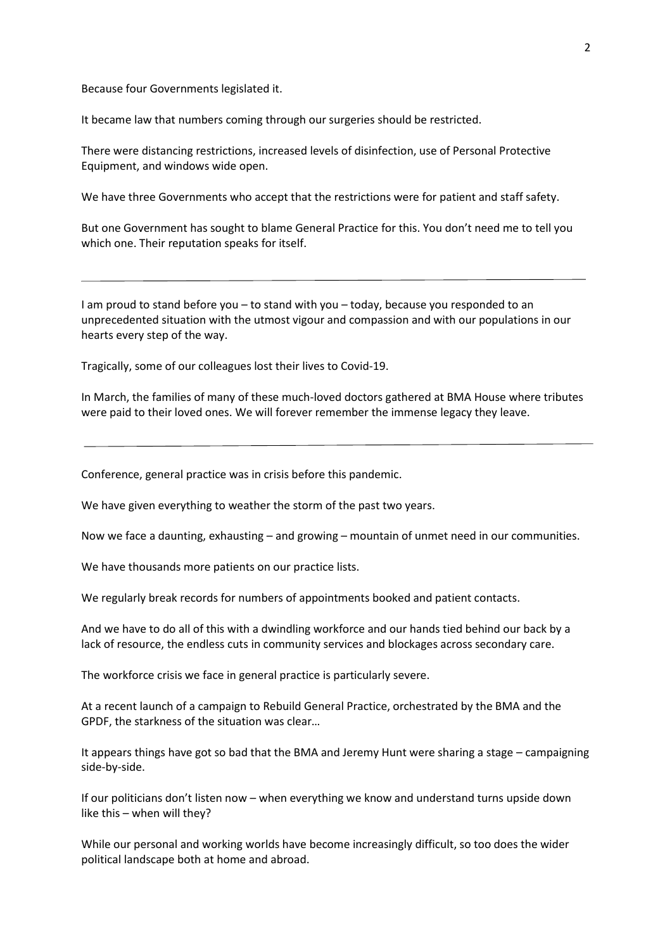Because four Governments legislated it.

It became law that numbers coming through our surgeries should be restricted.

There were distancing restrictions, increased levels of disinfection, use of Personal Protective Equipment, and windows wide open.

We have three Governments who accept that the restrictions were for patient and staff safety.

But one Government has sought to blame General Practice for this. You don't need me to tell you which one. Their reputation speaks for itself.

I am proud to stand before you – to stand with you – today, because you responded to an unprecedented situation with the utmost vigour and compassion and with our populations in our hearts every step of the way.

Tragically, some of our colleagues lost their lives to Covid-19.

In March, the families of many of these much-loved doctors gathered at BMA House where tributes were paid to their loved ones. We will forever remember the immense legacy they leave.

Conference, general practice was in crisis before this pandemic.

We have given everything to weather the storm of the past two years.

Now we face a daunting, exhausting – and growing – mountain of unmet need in our communities.

We have thousands more patients on our practice lists.

We regularly break records for numbers of appointments booked and patient contacts.

And we have to do all of this with a dwindling workforce and our hands tied behind our back by a lack of resource, the endless cuts in community services and blockages across secondary care.

The workforce crisis we face in general practice is particularly severe.

At a recent launch of a campaign to Rebuild General Practice, orchestrated by the BMA and the GPDF, the starkness of the situation was clear…

It appears things have got so bad that the BMA and Jeremy Hunt were sharing a stage – campaigning side-by-side.

If our politicians don't listen now – when everything we know and understand turns upside down like this – when will they?

While our personal and working worlds have become increasingly difficult, so too does the wider political landscape both at home and abroad.